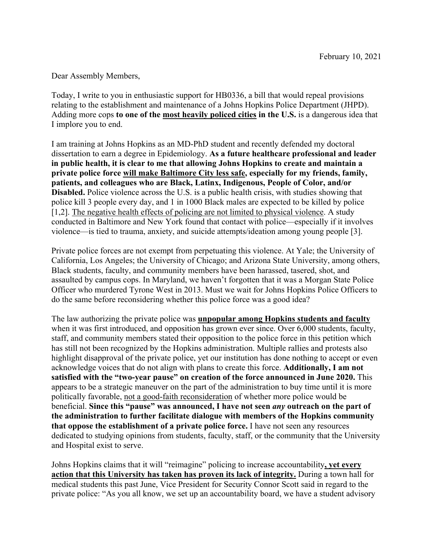Dear Assembly Members,

Today, I write to you in enthusiastic support for HB0336, a bill that would repeal provisions relating to the establishment and maintenance of a Johns Hopkins Police Department (JHPD). Adding more cops **to one of the most heavily policed cities in the U.S.** is a dangerous idea that I implore you to end.

I am training at Johns Hopkins as an MD-PhD student and recently defended my doctoral dissertation to earn a degree in Epidemiology. **As a future healthcare professional and leader in public health, it is clear to me that allowing Johns Hopkins to create and maintain a private police force will make Baltimore City less safe, especially for my friends, family, patients, and colleagues who are Black, Latinx, Indigenous, People of Color, and/or Disabled.** Police violence across the U.S. is a public health crisis, with studies showing that police kill 3 people every day, and 1 in 1000 Black males are expected to be killed by police [1,2]. The negative health effects of policing are not limited to physical violence. A study conducted in Baltimore and New York found that contact with police—especially if it involves violence—is tied to trauma, anxiety, and suicide attempts/ideation among young people [3].

Private police forces are not exempt from perpetuating this violence. At Yale; the University of California, Los Angeles; the University of Chicago; and Arizona State University, among others, Black students, faculty, and community members have been harassed, tasered, shot, and assaulted by campus cops. In Maryland, we haven't forgotten that it was a Morgan State Police Officer who murdered Tyrone West in 2013. Must we wait for Johns Hopkins Police Officers to do the same before reconsidering whether this police force was a good idea?

The law authorizing the private police was **unpopular among Hopkins students and faculty** when it was first introduced, and opposition has grown ever since. Over 6,000 students, faculty, staff, and community members stated their opposition to the police force in this petition which has still not been recognized by the Hopkins administration. Multiple rallies and protests also highlight disapproval of the private police, yet our institution has done nothing to accept or even acknowledge voices that do not align with plans to create this force. **Additionally, I am not satisfied with the "two-year pause" on creation of the force announced in June 2020.** This appears to be a strategic maneuver on the part of the administration to buy time until it is more politically favorable, not a good-faith reconsideration of whether more police would be beneficial. **Since this "pause" was announced, I have not seen** *any* **outreach on the part of the administration to further facilitate dialogue with members of the Hopkins community that oppose the establishment of a private police force.** I have not seen any resources dedicated to studying opinions from students, faculty, staff, or the community that the University and Hospital exist to serve.

Johns Hopkins claims that it will "reimagine" policing to increase accountability**, yet every action that this University has taken has proven its lack of integrity.** During a town hall for medical students this past June, Vice President for Security Connor Scott said in regard to the private police: "As you all know, we set up an accountability board, we have a student advisory